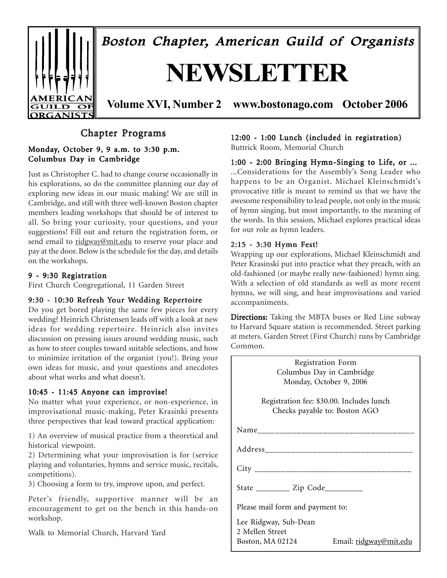

# Chapter Programs

### Monday, October 9, 9 a.m. to  $3:30$  p.m. Columbus Day in Cambridge

Just as Christopher C. had to change course occasionally in his explorations, so do the committee planning our day of exploring new ideas in our music making! We are still in Cambridge, and still with three well-known Boston chapter members leading workshops that should be of interest to all. So bring your curiosity, your questions, and your suggestions! Fill out and return the registration form, or send email to ridgway@mit.edu to reserve your place and pay at the door. Below is the schedule for the day, and details on the workshops.

### 9 - 9:30 Registration

First Church Congregational, 11 Garden Street

### 9:30 - 10:30 Refresh Your Wedding Repertoire

Do you get bored playing the same few pieces for every wedding? Heinrich Christensen leads off with a look at new ideas for wedding repertoire. Heinrich also invites discussion on pressing issues around wedding music, such as how to steer couples toward suitable selections, and how to minimize irritation of the organist (you!). Bring your own ideas for music, and your questions and anecdotes about what works and what doesn't.

### 10:45 - 11:45 Anyone can improvise! 10:45 - 11:45

No matter what your experience, or non-experience, in improvisational music-making, Peter Krasinki presents three perspectives that lead toward practical application:

1) An overview of musical practice from a theoretical and historical viewpoint.

2) Determining what your improvisation is for (service playing and voluntaries, hymns and service music, recitals, competitions).

3) Choosing a form to try, improve upon, and perfect.

Peter's friendly, supportive manner will be an encouragement to get on the bench in this hands-on workshop.

Walk to Memorial Church, Harvard Yard

### 12:00 - 1:00 Lunch (included in registration) Buttrick Room, Memorial Church

1:00 - 2:00 Bringing Hymn-Singing to Life, or ... ...Considerations for the Assembly's Song Leader who happens to be an Organist. Michael Kleinschmidt's provocative title is meant to remind us that we have the awesome responsibility to lead people, not only in the music of hymn singing, but most importantly, to the meaning of the words. In this session, Michael explores practical ideas

### 2:15 - 3:30 Hymn Fest!

for our role as hymn leaders.

Wrapping up our explorations, Michael Kleinschmidt and Peter Krasinski put into practice what they preach, with an old-fashioned (or maybe really new-fashioned) hymn sing. With a selection of old standards as well as more recent hymns, we will sing, and hear improvisations and varied accompaniments.

Directions: Taking the MBTA buses or Red Line subway to Harvard Square station is recommended. Street parking at meters. Garden Street (First Church) runs by Cambridge Common.

| Registration Form<br>Columbus Day in Cambridge<br>Monday, October 9, 2006<br>Registration fee: \$30.00. Includes lunch<br>Checks payable to: Boston AGO<br>Address_____________________________<br>City ______________________________<br>State ___________ Zip Code__________<br>Please mail form and payment to:<br>Lee Ridgway, Sub-Dean<br>2 Mellen Street<br>Email: ridgway@mit.edu<br>Boston, MA 02124 |  |
|--------------------------------------------------------------------------------------------------------------------------------------------------------------------------------------------------------------------------------------------------------------------------------------------------------------------------------------------------------------------------------------------------------------|--|
|                                                                                                                                                                                                                                                                                                                                                                                                              |  |
|                                                                                                                                                                                                                                                                                                                                                                                                              |  |
|                                                                                                                                                                                                                                                                                                                                                                                                              |  |
|                                                                                                                                                                                                                                                                                                                                                                                                              |  |
|                                                                                                                                                                                                                                                                                                                                                                                                              |  |
|                                                                                                                                                                                                                                                                                                                                                                                                              |  |
|                                                                                                                                                                                                                                                                                                                                                                                                              |  |
|                                                                                                                                                                                                                                                                                                                                                                                                              |  |
|                                                                                                                                                                                                                                                                                                                                                                                                              |  |
|                                                                                                                                                                                                                                                                                                                                                                                                              |  |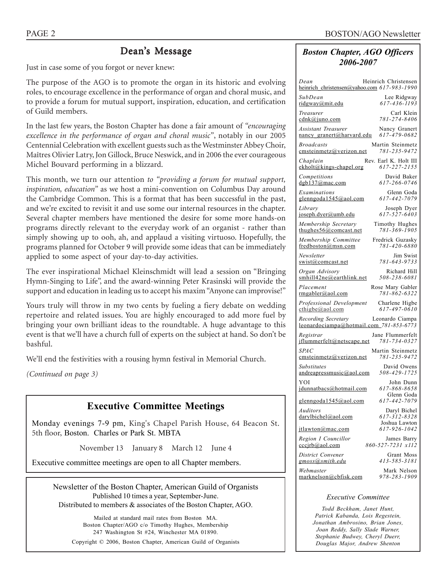# Dean's Message

Just in case some of you forgot or never knew:

The purpose of the AGO is to promote the organ in its historic and evolving roles, to encourage excellence in the performance of organ and choral music, and to provide a forum for mutual support, inspiration, education, and certification of Guild members.

In the last few years, the Boston Chapter has done a fair amount of *ìencouraging excellence in the performance of organ and choral music*", notably in our 2005 Centennial Celebration with excellent guests such as the Westminster Abbey Choir, Maîtres Olivier Latry, Jon Gillock, Bruce Neswick, and in 2006 the ever courageous Michel Bouvard performing in a blizzard.

This month, we turn our attention *to "providing a forum for mutual support*, *inspiration, educationî* as we host a mini-convention on Columbus Day around the Cambridge Common. This is a format that has been successful in the past, and we're excited to revisit it and use some our internal resources in the chapter. Several chapter members have mentioned the desire for some more hands-on programs directly relevant to the everyday work of an organist - rather than simply showing up to ooh, ah, and applaud a visiting virtuoso. Hopefully, the programs planned for October 9 will provide some ideas that can be immediately applied to some aspect of your day-to-day activities.

The ever inspirational Michael Kleinschmidt will lead a session on "Bringing" Hymn-Singing to Life", and the award-winning Peter Krasinski will provide the support and education in leading us to accept his maxim "Anyone can improvise!"

Yours truly will throw in my two cents by fueling a fiery debate on wedding repertoire and related issues. You are highly encouraged to add more fuel by bringing your own brilliant ideas to the roundtable. A huge advantage to this event is that we'll have a church full of experts on the subject at hand. So don't be bashful.

We'll end the festivities with a rousing hymn festival in Memorial Church.

*(Continued on page 3)*

# **Executive Committee Meetings**

Monday evenings 7-9 pm, King's Chapel Parish House, 64 Beacon St. 5th floor, Boston. Charles or Park St. MBTA

November 13 January 8 March 12 June 4

Executive committee meetings are open to all Chapter members.

Newsletter of the Boston Chapter, American Guild of Organists Published 10 times a year, September-June. Distributed to members & associates of the Boston Chapter, AGO.

Mailed at standard mail rates from Boston MA. Boston Chapter/AGO c/o Timothy Hughes, Membership 247 Washington St #24, Winchester MA 01890. Copyright © 2006, Boston Chapter, American Guild of Organists

## *Boston Chapter, AGO Officers 2006-2007*

| Heinrich Christensen<br>Dean<br>heinrich_christensen@yahoo.com 617-983-1990                   |
|-----------------------------------------------------------------------------------------------|
| SubDean<br>Lee Ridgway<br>ridgway@mit.edu<br>617-436-1193                                     |
| Carl Klein<br>Treasurer<br>781-274-8406<br>$\text{cdnk}\textcircled{a}$ juno.com              |
| <b>Assistant Treasurer</b><br>Nancy Granert<br>617-479-0682<br>nancy granert@harvard.edu      |
| <b>Broadcasts</b><br>Martin Steinmetz<br>781-235-9472<br>cmsteinmetz@verizon.net              |
| Chaplain<br>Rev. Earl K. Holt III<br>ekholt@kings-chapel.org<br>617-227-2155                  |
| David Baker<br>Competitions<br>617-266-0746<br>$d$ gb137@mac.com                              |
| Examinations<br>Glenn Goda<br>glenngoda1545@aol.com<br>617-442-7079                           |
| Library<br>Joseph Dyer<br>617-527-6403<br>joseph.dyer@umb.edu                                 |
| Membership Secretary<br>Timothy Hughes<br>781-369-1905<br>thughes $56@$ comcast.net           |
| Membership Committee<br>Fredrick Guzasky<br>781-420-6880<br>fredboston@msn.com                |
| Newsletter<br>Jim Swist<br>781-643-9733<br>swist@comcast.net                                  |
| Organ Advisory<br>Richard Hill<br>smhill42ne@earthlink.net<br>508-238-6081                    |
| Placement<br>Rose Mary Gabler<br>781-862-6322<br>rmgabler@aol.com                             |
| Professional Development<br>Charlene Higbe<br>617-497-0610<br>$\text{cthigbe}(a)$ aol.com     |
| Recording Secretary<br>Leonardo Ciampa<br>leonardociampa@hotmail.com_781-853-6773             |
| Registrar<br>Jane Flummerfelt<br>jflummerfelt@netscape.net<br>781-734-0327                    |
| <b>SPAC</b><br>Martin Steinmetz<br>781-235-9472<br>emsteinmetz@verizon.net                    |
| <b>Substitutes</b><br>David Owens<br>508-429-1725<br>andreapressmusic@aol.com                 |
| YOI<br>John Dunn<br>617-868-8658<br>idunnatbacs@hotmail.com                                   |
| Glenn Goda<br>glenngoda1545@aol.com<br>617-442-7079                                           |
| Auditors<br>Daryl Bichel<br>617-312-8328<br>darylbichel@aol.com                               |
| Joshua Lawton<br>617-926-1042<br>itlawton@mac.com                                             |
| Region I Councillor<br>James Barry<br>860-527-7231 x112<br>$cc$ c $\frac{1}{b}$ (a) ao 1. com |
| District Convener<br>Grant Moss<br>413-585-3181<br>gmoss@smith.edu                            |
| Webmaster<br>Mark Nelson<br>978-283-1909<br>marknelson@cbfisk.com                             |

#### *Executive Committee*

*Todd Beckham, Janet Hunt, Patrick Kabanda, Lois Regestein, Jonathan Ambrosino, Brian Jones, Joan Reddy, Sally Slade Warner, Stephanie Budwey, Cheryl Duerr, Douglas Major, Andrew Shenton*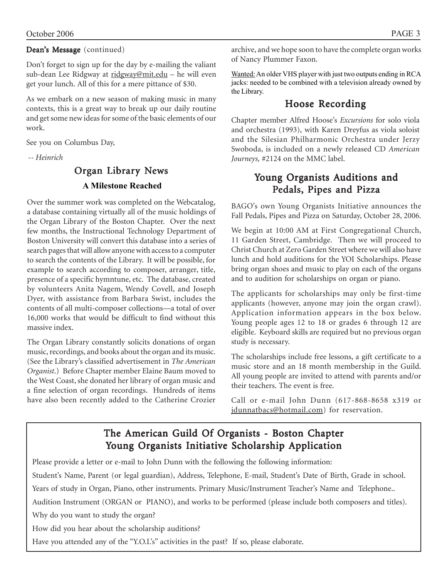## Dean's Message (continued)

Don't forget to sign up for the day by e-mailing the valiant sub-dean Lee Ridgway at ridgway@mit.edu - he will even get your lunch. All of this for a mere pittance of \$30.

As we embark on a new season of making music in many contexts, this is a great way to break up our daily routine and get some new ideas for some of the basic elements of our work.

See you on Columbus Day,

 *-- Heinrich*

# Organ Library News  **A Milestone Reached**

Over the summer work was completed on the Webcatalog, a database containing virtually all of the music holdings of the Organ Library of the Boston Chapter. Over the next few months, the Instructional Technology Department of Boston University will convert this database into a series of search pages that will allow anyone with access to a computer to search the contents of the Library. It will be possible, for example to search according to composer, arranger, title, presence of a specific hymntune, etc. The database, created by volunteers Anita Nagem, Wendy Covell, and Joseph Dyer, with assistance from Barbara Swist, includes the contents of all multi-composer collections—a total of over 16,000 works that would be difficult to find without this massive index.

The Organ Library constantly solicits donations of organ music, recordings, and books about the organ and its music. (See the Libraryís classified advertisement in *The American Organist*.) Before Chapter member Elaine Baum moved to the West Coast, she donated her library of organ music and a fine selection of organ recordings. Hundreds of items have also been recently added to the Catherine Crozier archive, and we hope soon to have the complete organ works of Nancy Plummer Faxon.

Wanted: An older VHS player with just two outputs ending in RCA jacks: needed to be combined with a television already owned by the Library.

# Hoose Recording

Chapter member Alfred Hoose's *Excursions* for solo viola and orchestra (1993), with Karen Dreyfus as viola soloist and the Silesian Philharmonic Orchestra under Jerzy Swoboda, is included on a newly released CD *American Journeys,* #2124 on the MMC label.

# Young Organists Auditions and Pedals, Pipes and Pizza

BAGO's own Young Organists Initiative announces the Fall Pedals, Pipes and Pizza on Saturday, October 28, 2006.

We begin at 10:00 AM at First Congregational Church, 11 Garden Street, Cambridge. Then we will proceed to Christ Church at Zero Garden Street where we will also have lunch and hold auditions for the YOI Scholarships. Please bring organ shoes and music to play on each of the organs and to audition for scholarships on organ or piano.

The applicants for scholarships may only be first-time applicants (however, anyone may join the organ crawl). Application information appears in the box below. Young people ages 12 to 18 or grades 6 through 12 are eligible. Keyboard skills are required but no previous organ study is necessary.

The scholarships include free lessons, a gift certificate to a music store and an 18 month membership in the Guild. All young people are invited to attend with parents and/or their teachers. The event is free.

Call or e-mail John Dunn (617-868-8658 x319 or jdunnatbacs@hotmail.com) for reservation.

# The American Guild Of Organists - Boston Chapter Young Organists Initiative Scholarship Application

Please provide a letter or e-mail to John Dunn with the following the following information:

Student's Name, Parent (or legal guardian), Address, Telephone, E-mail, Student's Date of Birth, Grade in school.

Years of study in Organ, Piano, other instruments. Primary Music/Instrument Teacher's Name and Telephone..

Audition Instrument (ORGAN or PIANO), and works to be performed (please include both composers and titles).

Why do you want to study the organ?

How did you hear about the scholarship auditions?

Have you attended any of the "Y.O.I.'s" activities in the past? If so, please elaborate.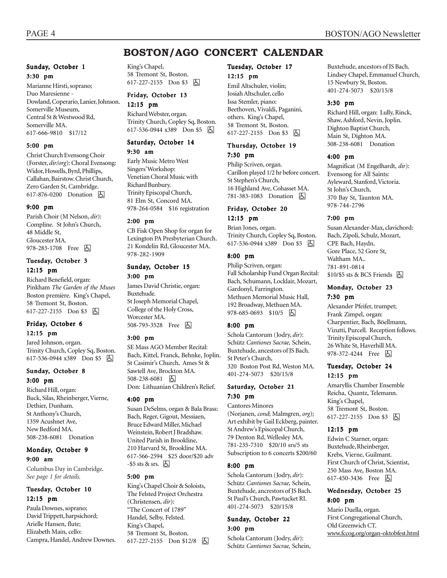# **BOSTON/AGO CONCERT CALENDAR**

#### Sunday, October 1 3:30 pm

Marianne Hirsti, soprano; Duo Maresienne - Dowland, Coperario, Lanier, Johnson. Somerville Museum, Central St & Westwood Rd, Somerville MA. 617-666-9810 \$17/12

#### 5:00 pm

Christ Church Evensong Choir (Forster, *dir/org*): Choral Evensong: Widor, Howells, Byrd, Phillips, Callahan, Bairstow. Christ Church, Zero Garden St, Cambridge. 617-876-0200 Donation 因

#### 9:00 pm

Parish Choir (M Nelson, *dir*): Compline. St John's Church, 48 Middle St, Gloucester MA. 978-283-1708 Free 因

#### Tuesday, October 3 12:15 pm

Richard Benefield, organ: Pinkham *The Garden of the Muses* Boston première. King's Chapel, 58 Tremont St, Boston. 617-227-2155 Don \$3 因

#### Friday, October 6 12:15 pm

Jared Johnson, organ. Trinity Church, Copley Sq, Boston. 617-536-0944 x389 Don \$5 因

### Sunday, October 8 3:00 pm

Richard Hill, organ: Buck, Silas, Rheinberger, Vierne, Dethier, Dunham. St Anthony's Church, 1359 Acushnet Ave, New Bedford MA. 508-238-6081 Donation

#### Monday, October 9 9:00 am

Columbus Day in Cambridge. *See page 1 for details.*

#### Tuesday, October 10 12:15 pm

Paula Downes, soprano; David Trippett, harpsichord; Arielle Hansen, flute; Elizabeth Main, cello: Campra, Handel, Andrew Downes. King's Chapel, 58 Tremont St, Boston. 617-227-2155 Don \$3 固

# Friday, October 13

12:15 pm Richard Webster, organ. Trinity Church, Copley Sq, Boston. 617-536-0944 x389 Don \$5 囚

# Saturday, October 14

9:30 am Early Music Metro West Singers' Workshop: Venetian Choral Music with Richard Bunbury. Trinity Episcopal Church, 81 Elm St, Concord MA. 978-264-0584 \$16 registration

#### 2:00 pm

CB Fisk Open Shop for organ for Lexington PA Presbyterian Church. 21 Kondelin Rd, Gloucester MA. 978-282-1909

### Sunday, October 15 3:00 pm

James David Christie, organ: Buxtehude. St Joseph Memorial Chapel, College of the Holy Cross, Worcester MA. 508-793-3528 Free 因

#### 3:00 pm

SE Mass AGO Member Recital: Bach, Kittel, Franck, Behnke, Joplin. St Casimir's Church, Ames St & Sawtell Ave, Brockton MA. 508-238-6081 因 Don: Lithuanian Children's Relief.

#### 4:00 pm

Susan DeSelms, organ & Bala Brass: Bach, Reger, Gigout, Messiaen, Bruce Edward Miller, Michael Weinstein, Robert J Bradshaw. United Parish in Brookline, 210 Harvard St, Brookline MA. 617-566-2594 \$25 door/\$20 adv  $-$ \$5 sts & srs.  $\boxed{6}$ 

#### 5:00 pm

King's Chapel Choir & Soloists, The Felsted Project Orchestra (Christensen, *dir*): "The Concert of 1789" Handel, Selby, Felsted. King's Chapel, 58 Tremont St, Boston. 617-227-2155 Don \$12/8 | A

# Tuesday, October 17

12:15 pm Emil Altschuler, violin; Josiah Altschuler, cello Issa Stemler, piano:

Beethoven, Vivaldi, Paganini, others. King's Chapel, 58 Tremont St, Boston. 617-227-2155 Don \$3 因

#### Thursday, October 19 7:30 pm

Philip Scriven, organ. Carillon played 1/2 hr before concert. St Stephen's Church, 16 Highland Ave, Cohasset MA. 781-383-1083 Donation h

#### Friday, October 20 12:15 pm

Brian Jones, organ. Trinity Church, Copley Sq, Boston. 617-536-0944 x389 Don \$5 h

#### 8:00 pm

Philip Scriven, organ: Fall Scholarship Fund Organ Recital: Bach, Schumann, Locklair, Mozart, Gardonyl, Farrington. Methuen Memorial Music Hall, 192 Broadway, Methuen MA. 978-685-0693 \$10/5 | 4

#### 8:00 pm

Schola Cantorum (Jodry, *dir*): Schütz *Cantiones Sacrae*, Schein, Buxtehude, ancestors of JS Bach. St Peter's Church, 320 Boston Post Rd, Weston MA. 401-274-5073 \$20/15/8

### Saturday, October 21 7:30 pm

Cantores Minores

(Norjanen, *cond*; Malmgren, *org*); Art exhibit by Gail Eckberg, painter. St Andrew's Episcopal Church, 79 Denton Rd, Wellesley MA. 781-235-7310 \$20/10 srs/5 sts Subscription to 6 concerts \$200/60

#### 8:00 pm

Schola Cantorum (Jodry, *dir*): Schütz Cantiones Sacrae, Schein, Buxtehude, ancrestors of JS Bach. St Paulís Church, Pawtucket RI. 401-274-5073 \$20/15/8

#### Sunday, October 22 3:00 pm

Schola Cantorum (Jodry, *dir*): Schütz Cantiones Sacrae, Schein, Buxtehude, ancestors of JS Bach. Lindsey Chapel, Emmanuel Church, 15 Newbury St, Boston. 401-274-5073 \$20/15/8

#### 3:30 pm

Richard Hill, organ: Lully, Rinck, Shaw, Ashford, Nevin, Joplin. Dighton Baptist Church, Main St, Dighton MA. 508-238-6081 Donation

#### 4:00 pm

Magnificat (M Engelhardt, *dir*): Evensong for All Saints: Ayleward, Stanford, Victoria. St John's Church, 370 Bay St, Taunton MA. 978-744-2796

#### 7:00 pm

Susan Alexander-Max, clavichord: Bach, Zipoli, Schulz, Mozart, CPE Bach, Haydn. Gore Place, 52 Gore St, Waltham MA 781-891-0814  $$10/$5$  sts & BCS Friends  $\Box$ 

#### Monday, October 23 7:30 pm

Alexander Pfeifer, trumpet; Frank Zimpel, organ: Charpentier, Bach, Böellmann, Vizutti, Purcell. Reception follows. Trinity Episcopal Church, 26 White St, Haverhill MA. 978-372-4244 Free **b** 

#### Tuesday, October 24 12:15 pm

Amaryllis Chamber Ensemble Reicha, Quantz, Telemann. King's Chapel, 58 Tremont St, Boston. 617-227-2155 Don \$3 因

#### 12:15 pm

Edwin C Starner, organ: Buxtehude, Rheinberger, Krebs, Vierne, Guilmant. First Church of Christ, Scientist, 250 Mass Ave, Boston MA. 617-450-3436 Free **A** 

#### Wednesday, October 25 8:00 pm

Mario Duella, organ. First Congregational Church, Old Greenwich CT. www.fccog.org/organ-oktobfest.html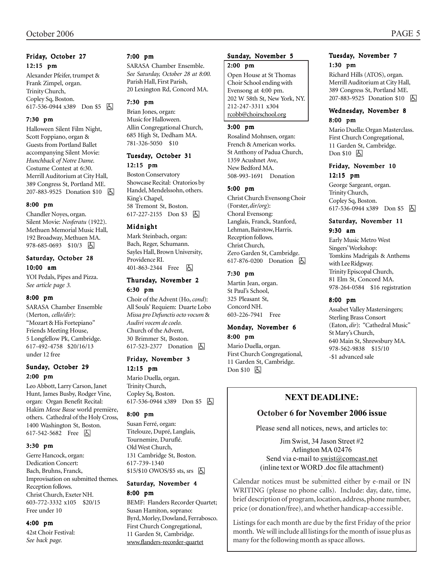#### Friday, October 27 12:15 pm

Alexander Pfeifer, trumpet & Frank Zimpel, organ. Trinity Church, Copley Sq, Boston. 617-536-0944 x389 Don \$5 因

#### 7:30 pm

Halloween Silent Film Night, Scott Foppiano, organ & Guests from Portland Ballet accompanying Silent Movie: *Hunchback of Notre Dame.* Costume Contest at 6:30. Merrill Auditorium at City Hall, 389 Congress St, Portland ME. 207-883-9525 Donation \$10 **b** 

#### 8:00 pm

Chandler Noyes, organ. Silent Movie: *Nosferatu* (1922). Methuen Memorial Music Hall, 192 Broadway, Methuen MA. 978-685-0693 \$10/3 因

#### Saturday, October 28 10:00 am

YOI Pedals, Pipes and Pizza. *See article page 3.*

#### 8:00 pm

SARASA Chamber Ensemble (Merton, *cello/dir*): "Mozart & His Fortepiano" Friends Meeting House, 5 Longfellow Pk, Cambridge. 617-492-4758 \$20/16/13 under 12 free

### Sunday, October 29 2:00 pm

Leo Abbott, Larry Carson, Janet Hunt, James Busby, Rodger Vine, organ: Organ Benefit Recital: Hakim Messe Basse world première, others. Cathedral of the Holy Cross, 1400 Washington St, Boston. 617-542-5682 Free 因

#### 3:30 pm

Gerre Hancock, organ: Dedication Concert: Bach, Bruhns, Franck, Improvisation on submitted themes. Reception follows. Christ Church, Exeter NH. 603-772-3332 x105 \$20/15 Free under 10

#### 4:00 pm

42st Choir Festival: *See back page.*

#### 7:00 pm

SARASA Chamber Ensemble. *See Saturday, October 28 at 8:00.* Parish Hall, First Parish, 20 Lexington Rd, Concord MA.

#### 7:30 pm

Brian Jones, organ: Music for Halloween. Allin Congregational Church, 685 High St, Dedham MA. 781-326-5050 \$10

### Tuesday, October 31

12:15 pm

Boston Conservatory Showcase Recital: Oratorios by Handel, Mendelssohn, others. King's Chapel, 58 Tremont St, Boston. 617-227-2155 Don \$3 因

#### Midnight

Mark Steinbach, organ: Bach, Reger, Schumann. Sayles Hall, Brown University, Providence RI. 401-863-2344 Free 因

#### Thursday, November 2 6:30 pm

Choir of the Advent (Ho, *cond*): All Souls' Requiem: Duarte Lobo *Missa pro Defunctis octo vocum* & *Audivi vocem de coelo.* Church of the Advent, 30 Brimmer St, Boston. 617-523-2377 Donation **b** 

#### Friday, November 3 12:15 pm

Mario Duella, organ. Trinity Church, Copley Sq, Boston. 617-536-0944 x389 Don \$5 h

#### 8:00 pm

Susan Ferré, organ: Titelouze, Dupré, Langlais, Tournemire, Duruflé. Old West Church, 131 Cambridge St, Boston. 617-739-1340  $$15/$10$  OWOS/\$5 sts, srs  $\Box$ 

#### Saturday, November 4 8:00 pm

BEMF: Flanders Recorder Quartet; Susan Hamiton, soprano: Byrd, Morley, Dowland, Ferrabosco. First Church Congregational, 11 Garden St, Cambridge. www.flanders-recorder-quartet

#### Sunday, November 5

#### 2:00 pm

Open House at St Thomas Choir School ending with Evensong at 4:00 pm. 202 W 58th St, New York, NY. 212-247-3311 x304 rcobb@choirschool.org

#### 3:00 pm

Rosalind Mohnsen, organ: French & American works. St Anthony of Padua Church, 1359 Acushnet Ave, New Bedford MA. 508-993-1691 Donation

#### 5:00 pm

Christ Church Evensong Choir (Forster, *dir/org*): Choral Evensong: Langlais, Franck, Stanford, Lehman, Bairstow, Harris. Reception follows. Christ Church, Zero Garden St, Cambridge. 617-876-0200 Donation  $\Box$ 

#### 7:30 pm

Martin Jean, organ. St Paul's School, 325 Pleasant St, Concord NH. 603-226-7941 Free

### Monday, November 6 8:00 pm

Mario Duella, organ. First Church Congregational, 11 Garden St, Cambridge. Don \$10 因

#### Tuesday, November 7 1:30 pm

Richard Hills (ATOS), organ. Merrill Auditorium at City Hall, 389 Congress St, Portland ME. 207-883-9525 Donation \$10 因

#### Wednesday, November 8 8:00 pm

Mario Duella: Organ Masterclass. First Church Congregational, 11 Garden St, Cambridge. Don \$10 **b** 

#### Friday, November 10 12:15 pm

George Sargeant, organ. Trinity Church, Copley Sq, Boston. 617-536-0944 x389 Don \$5 因

#### Saturday, November 11 9:30 am

Early Music Metro West Singers' Workshop: Tomkins Madrigals & Anthems with Lee Ridgway. Trinity Episcopal Church, 81 Elm St, Concord MA. 978-264-0584 \$16 registration

#### 8:00 pm

Assabet Valley Mastersingers; Sterling Brass Consort (Eaton, dir): "Cathedral Music" St Mary's Church, 640 Main St, Shrewsbury MA. 978-562-9838 \$15/10 -\$1 advanced sale

# **NEXT DEADLINE:**

### **October 6 for November 2006 issue**

Please send all notices, news, and articles to:

Jim Swist, 34 Jason Street #2 Arlington MA 02476 Send via e-mail to swist@comcast.net (inline text or WORD .doc file attachment)

Calendar notices must be submitted either by e-mail or IN WRITING (please no phone calls). Include: day, date, time, brief description of program, location, address, phone number, price (or donation/free), and whether handicap-accessible.

.

Listings for each month are due by the first Friday of the prior month. We will include all listings for the month of issue plus as many for the following month as space allows.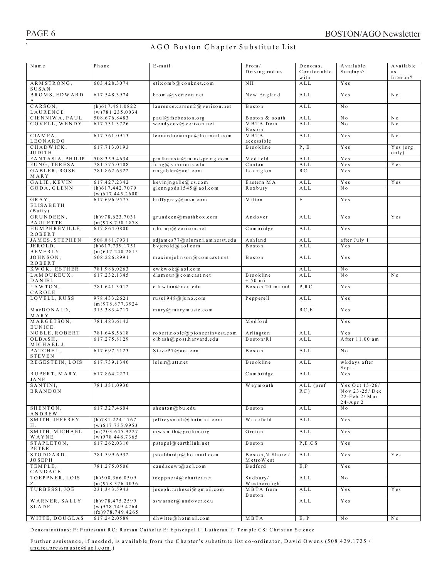### A G O Boston C hapter Substitute List

| Name                        | Phone                                        | E-mail                                                       | From /                             | Denoms.                                 | Available                               | Available          |
|-----------------------------|----------------------------------------------|--------------------------------------------------------------|------------------------------------|-----------------------------------------|-----------------------------------------|--------------------|
|                             |                                              |                                                              | Driving radius                     | Comfortable                             | Sundays?                                | a s                |
|                             |                                              |                                                              |                                    | w ith                                   |                                         | Interim?           |
| ARMSTRONG,<br>SUSAN         | 603.428.3074                                 | etitcom b@ conknet.com                                       | NH                                 | ALL                                     | Y es                                    |                    |
| BROMS, EDWARD               | 617.548.3974                                 | $b$ roms@verizon.net                                         | New England                        | A L L                                   | Y es                                    | N <sub>0</sub>     |
| А.                          |                                              |                                                              |                                    |                                         |                                         |                    |
| CARSON,                     | $(h)$ 617.451.0822                           | laurence.carson2 $@$ verizon.net                             | Boston                             | A L L                                   | N o                                     |                    |
| LAURENCE<br>CIENNIWA, PAUL  | $(w)$ 781.235.0034<br>508.676.8483           | paul@ fscboston.org                                          | Boston & south                     | $\hbox{A}\, \hbox{L}\, \hbox{L}$        | N o                                     | N 0                |
| COVELL, WENDY               | 617.731.3726                                 | wendycov@verizon.net                                         | MBTA from                          | ALL                                     | N <sub>o</sub>                          | N o                |
|                             |                                              |                                                              | Boston                             |                                         |                                         |                    |
| CIAMPA,                     | 617.561.0913                                 | $leonardociam pa@$ , hotmail.com                             | MBTA                               | A L L                                   | Y es                                    | N o                |
| LEONARDO                    |                                              |                                                              | accessible                         |                                         |                                         |                    |
| CHADWICK.<br>JUDITH         | 617.713.0193                                 |                                                              | Brookline                          | P, E                                    | Y es                                    | Yes (org.<br>only) |
| FANTASIA, PHILIP            | 508.359.4634                                 | pm fantasia@ mindspring.com                                  | Medfield                           | ALL                                     | Y es                                    |                    |
| FUNG, TERESA                | 781.575.0408                                 | fung@simmons.edu                                             | Canton                             | ALL                                     | Y es                                    | Y es               |
| GABLER, ROSE                | 781.862.6322                                 | $rm g$ abler@aol.com                                         | $L$ exington                       | R C                                     | Y es                                    |                    |
| MARY                        | 617.427.2342                                 | keyingalie@cs.com                                            | Eastern MA                         |                                         | Y es                                    |                    |
| GALIE, KEVIN<br>GODA, GLENN | $(h)$ 617.442.7079                           | glenngoda1545@ aol.com                                       | Roxbury                            | ALL<br>ALL                              | N o                                     | Y es               |
|                             | $(w)$ 617.445.2600                           |                                                              |                                    |                                         |                                         |                    |
| GRAY.                       | 617.696.9575                                 | $b$ uffygray $@$ m sn.com                                    | M ilton                            | E                                       | Y es                                    |                    |
| <b>ELISABETH</b>            |                                              |                                                              |                                    |                                         |                                         |                    |
| (Buffy)<br>GRUNDEEN,        | $(h)$ 978.623.7031                           | grunkden@mathbox.com                                         | Andover                            | ALL                                     | Y es                                    | Y es               |
| PAULETTE                    | $(m)$ 978.790.1878                           |                                                              |                                    |                                         |                                         |                    |
| HUMPHREVILLE,               | 617.864.0800                                 | $r.hum p@$ verizon net                                       | Cambridge                          | A L L                                   | Y es                                    |                    |
| ROBERT                      |                                              |                                                              |                                    |                                         |                                         |                    |
| JAMES, STEPHEN              | 508.881.7931<br>$\overline{(h)617.739.1751}$ | sdjames 77@ alumni.amherst.edu<br>$b$ vjerold $(a)$ a ol.com | Ashland<br>Boston                  | $\hbox{A}\, \hbox{L}\, \hbox{L}$<br>ALL | after July 1<br>Y es                    |                    |
| JEROLD,<br>BEVERLY          | $(m)$ 617.240.2815                           |                                                              |                                    |                                         |                                         |                    |
| JOHNSON,                    | 508.226.8991                                 | $m$ axinejohnson $@$ com cast.net                            | Boston                             | ALL                                     | Y es                                    |                    |
| <b>ROBERT</b>               |                                              |                                                              |                                    |                                         |                                         |                    |
| KWOK, ESTHER                | 781.986.0263                                 | $ewkwok@$ a o l.com                                          |                                    | ALL                                     | N o                                     |                    |
| LAMOUREUX,<br>DANIEL        | 617.232.1345                                 | $d$ lam our $@$ com cast.net                                 | Brookline<br>$+50$ mi              | ALL                                     | N o                                     | N o                |
| LAWTON,                     | 781.641.3012                                 | c.lawton@neu.edu                                             | Boston 20 mirad                    | P, R, C                                 | Y es                                    |                    |
| CAROLE                      |                                              |                                                              |                                    |                                         |                                         |                    |
| LOVELL, RUSS                | 978.433.2621                                 | russ $1948@$ juno.com                                        | Pepperell                          | A L L                                   | Y es                                    |                    |
| MacDONALD,                  | $(m)$ 978.877.3924<br>315.383.4717           | $m$ ary $@$ m ary m usic.com                                 |                                    | R C, E                                  | Y es                                    |                    |
| <b>MARY</b>                 |                                              |                                                              |                                    |                                         |                                         |                    |
| MARGETSON,                  | 781.483.6142                                 |                                                              | Medford                            |                                         | Y es                                    |                    |
| EUNICE                      |                                              |                                                              |                                    |                                         |                                         |                    |
| NOBLE, ROBERT<br>OLBASH,    | 781.648.5618<br>617.275.8129                 | robert.noble@pioneerinvest.com<br>olbash@post.harvard.edu    | Arlington<br>Boston/RI             | A L L<br>A L L                          | Y es<br>A fter 11.00 am                 |                    |
| MICHAEL J.                  |                                              |                                                              |                                    |                                         |                                         |                    |
| PATCHEL,                    | 617.697.5123                                 | SteveP7@aol.com                                              | Boston                             | A L L                                   | N o                                     |                    |
| <b>STEVEN</b>               |                                              |                                                              |                                    |                                         |                                         |                    |
| REGESTEIN, LOIS             | 617.739.1340                                 | $lois.r@$ att.net                                            | Brookline                          | ALL                                     | wkdays after                            |                    |
| RUPERT, MARY                | 617.864.2271                                 |                                                              | Cambridge                          | A L L                                   | Sept.<br>Y es                           |                    |
| JANE                        |                                              |                                                              |                                    |                                         |                                         |                    |
| SANTINI,                    | 781.331.0930                                 |                                                              | Weymouth                           | ALL (pref                               | Yes Oct 15-26/                          |                    |
| BRANDON                     |                                              |                                                              |                                    | RC)                                     | Nov $23-25$ / Dec<br>$22$ -Feb $2/M$ ar |                    |
|                             |                                              |                                                              |                                    |                                         | $24 - A pr 2$                           |                    |
| SHENTON,                    | 617.327.4604                                 | shenton@bu.edu                                               | Boston                             | ALL                                     | N o                                     |                    |
| ANDREW                      |                                              |                                                              |                                    |                                         |                                         |                    |
| SMITH, JEFFREY              | (h)781.224.1767                              | $j$ effreysmith@hotmail.com                                  | W ake field                        | ALL                                     | Y es                                    |                    |
| Η.<br>SMITH, MICHAEL        | $(w)$ 617.735.9953<br>$(m)$ 203.645.9227     | $m \le s m$ ith $\omega$ groton.org                          | Groton                             | ALL                                     | Y e s                                   |                    |
| WAYNE                       | $(w)$ 978.448.7365                           |                                                              |                                    |                                         |                                         |                    |
| STAPLETON,                  | 617.262.0316                                 | $pstopsl@$ earthlink net                                     | Boston                             | P.E.CS                                  | Y e s                                   |                    |
| PETER                       |                                              |                                                              |                                    |                                         |                                         |                    |
| STODDARD,<br><b>JOSEPH</b>  | 781.599.6932                                 | $j$ stoddard $j$ r $@$ , hotmail.com                         | Boston, N. Shore /<br>M etro W est | ALL                                     | Y es                                    | Y es               |
| TEMPLE,                     | 781.275.0506                                 | candacewt@aol.com                                            | Bedford                            | E, P                                    | Y e s                                   |                    |
| CANDACE                     |                                              |                                                              |                                    |                                         |                                         |                    |
| TOEPPNER, LOIS              | $(h)$ 508.366.0509                           | to eppner $4\omega$ charter net                              | Sudbury/                           | ALL                                     | N o                                     |                    |
| Ζ.<br>TURBESSI, JOE         | $(m)$ 978.376.4036<br>231.343.5943           | ioseph.turbessi@gmail.com                                    | Westborough<br>MBTA from           | ALL                                     | Y es                                    | Y es               |
|                             |                                              |                                                              | Boston                             |                                         |                                         |                    |
| WARNER, SALLY               | $(h)$ 978.475.2599                           | $ssw\,arner(a)$ and $over.edu$                               |                                    | ALL                                     | Y es                                    |                    |
| SLADE                       | $(w)$ 978.749.4264                           |                                                              |                                    |                                         |                                         |                    |
| WITTE, DOUGLAS              | (fx)978.749.4265                             | $dh$ witte $@$ hotmail.com                                   | MBTA                               | E, P                                    |                                         |                    |
|                             | 617.242.0589                                 |                                                              |                                    |                                         | N o                                     | N o                |

D enominations: P: Protestant RC: Roman Catholic E: Episcopal L: Lutheran T: Temple CS: Christian Science

Further assistance, if needed, is available from the Chapter's substitute list co-ordinator, David Owens (508.429.1725 / andreapressm usic@ aol.com .)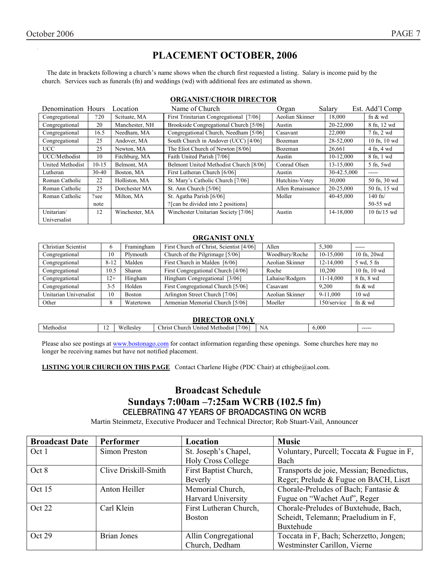# **PLACEMENT OCTOBER, 2006**

The date in brackets following a church's name shows when the church first requested a listing. Salary is income paid by the church. Services such as funerals (fn) and weddings (wd) with additional fees are estimated as shown.

#### **ORGANIST/CHOIR DIRECTOR**

| Denomination Hours      |           | Location       | Name of Church                          | Organ             | Salary      | Est. Add'l Comp  |
|-------------------------|-----------|----------------|-----------------------------------------|-------------------|-------------|------------------|
| Congregational          | ?20       | Scituate, MA   | First Trinitarian Congregational [7/06] | Aeolian Skinner   | 18,000      | fn $\&$ wd       |
| Congregational          | 20        | Manchester, NH | Brookside Congregational Church [5/06]  | Austin            | 20-22,000   | 8 fn, 12 wd      |
| Congregational          | 16.5      | Needham, MA    | Congregational Church, Needham [5/06]   | Casavant          | 22,000      | 7 fn, 2 wd       |
| Congregational          | 25        | Andover, MA    | South Church in Andover (UCC) [4/06]    | Bozeman           | 28-52,000   | 10 fn, 10 wd     |
| UCC                     | 25        | Newton, MA     | The Eliot Church of Newton [8/06]       | Bozeman           | 26,661      | 4 fn, 4 wd       |
| UCC/Methodist           | 10        | Fitchburg, MA  | Faith United Parish [7/06]              | Austin            | $10-12,000$ | 8 fn, 1 wd       |
| <b>United Methodist</b> | $10-15$   | Belmont, MA    | Belmont United Methodist Church [8/06]  | Conrad Olsen      | 13-15,000   | 5 fn, 5wd        |
| Lutheran                | $30 - 40$ | Boston, MA     | First Lutheran Church [6/06]            | Austin            | 30-42.5,000 | -----            |
| Roman Catholic          | 22        | Holliston, MA  | St. Mary's Catholic Church [7/06]       | Hutchins-Votey    | 30,000      | 50 fn, 30 wd     |
| Roman Catholic          | 25        | Dorchester MA  | St. Ann Church [5/06]                   | Allen Renaissance | 20-25,000   | 50 fn, 15 wd     |
| Roman Catholic          | ?see      | Milton, MA     | St. Agatha Parish [6/06]                | Moller            | 40-45,000   | $140$ fn/        |
|                         | note      |                | ? [can be divided into 2 positions]     |                   |             | $50 - 55$ wd     |
| Unitarian/              | 12        | Winchester, MA | Winchester Unitarian Society [7/06]     | Austin            | 14-18.000   | $10$ fn/ $15$ wd |
| Universalist            |           |                |                                         |                   |             |                  |

#### **ORGANIST ONLY**

| Christian Scientist    | h        | Framingham    | First Church of Christ, Scientist [4/06] | Allen           | 5.300       | $- - - - -$     |
|------------------------|----------|---------------|------------------------------------------|-----------------|-------------|-----------------|
| Congregational         | 10       | Plymouth      | Church of the Pilgrimage [5/06]          | Woodbury/Roche  | 10-15.000   | 10 fn. 20wd     |
| Congregational         | $8 - 12$ | Malden        | First Church in Malden [6/06]            | Aeolian Skinner | 12-14.000   | 5 wd. 5 fn      |
| Congregational         | 10.5     | Sharon        | First Congregational Church [4/06]       | Roche           | 10.200      | 10 fn, 10 wd    |
| Congregational         | $2+$     | Hingham       | Hingham Congregational [3/06]            | Lahaise/Rodgers | 11-14,000   | 8 fn, 8 wd      |
| Congregational         | $3 - 5$  | Holden        | First Congregational Church [5/06]       | Casavant        | 9.200       | fn $&$ wd       |
| Unitarian Universalist | 10       | <b>Boston</b> | Arlington Street Church [7/06]           | Aeolian Skinner | 9-11,000    | $10 \text{ wd}$ |
| Other                  | 8        | Watertown     | Armenian Memorial Church [5/06]          | Moeller         | 150/service | fn $&$ wd       |

#### **DIRECTOR ONLY**

| .,<br>' VIN VIN L |     |                           |                                                                      |    |       |        |
|-------------------|-----|---------------------------|----------------------------------------------------------------------|----|-------|--------|
| Methodis          | . . | $\mathbf{u}$<br>Wellesley | $7/06$ .<br>$\sim$<br>Christ<br>:hurch<br><b>Inited</b><br>Methodist | NA | 6.000 | ------ |
|                   |     |                           |                                                                      |    |       |        |

Please also see postings at www.bostonago.com for contact information regarding these openings. Some churches here may no longer be receiving names but have not notified placement.

**LISTING YOUR CHURCH ON THIS PAGE** Contact Charlene Higbe (PDC Chair) at cthigbe@aol.com.

# **Broadcast Schedule Sundays 7:00am -7:25am WCRB (102.5 fm)** CELEBRATING 47 YEARS OF BROADCASTING ON WCRB

Martin Steinmetz, Executive Producer and Technical Director: Rob Stuart-Vail, Announcer

| <b>Broadcast Date</b> | <b>Performer</b>     | Location                  | <b>Music</b>                              |
|-----------------------|----------------------|---------------------------|-------------------------------------------|
| Oct 1                 | Simon Preston        | St. Joseph's Chapel,      | Voluntary, Purcell; Toccata & Fugue in F, |
|                       |                      | <b>Holy Cross College</b> | Bach                                      |
| Oct 8                 | Clive Driskill-Smith | First Baptist Church,     | Transports de joie, Messian; Benedictus,  |
|                       |                      | Beverly                   | Reger; Prelude & Fugue on BACH, Liszt     |
| Oct 15                | Anton Heiller        | Memorial Church,          | Chorale-Preludes of Bach; Fantasie &      |
|                       |                      | <b>Harvard University</b> | Fugue on "Wachet Auf", Reger              |
| Oct 22                | Carl Klein           | First Lutheran Church,    | Chorale-Preludes of Buxtehude, Bach,      |
|                       |                      | <b>Boston</b>             | Scheidt, Telemann; Praeludium in F,       |
|                       |                      |                           | Buxtehude                                 |
| Oct 29                | Brian Jones          | Allin Congregational      | Toccata in F, Bach; Scherzetto, Jongen;   |
|                       |                      | Church, Dedham            | Westminster Carillon, Vierne              |